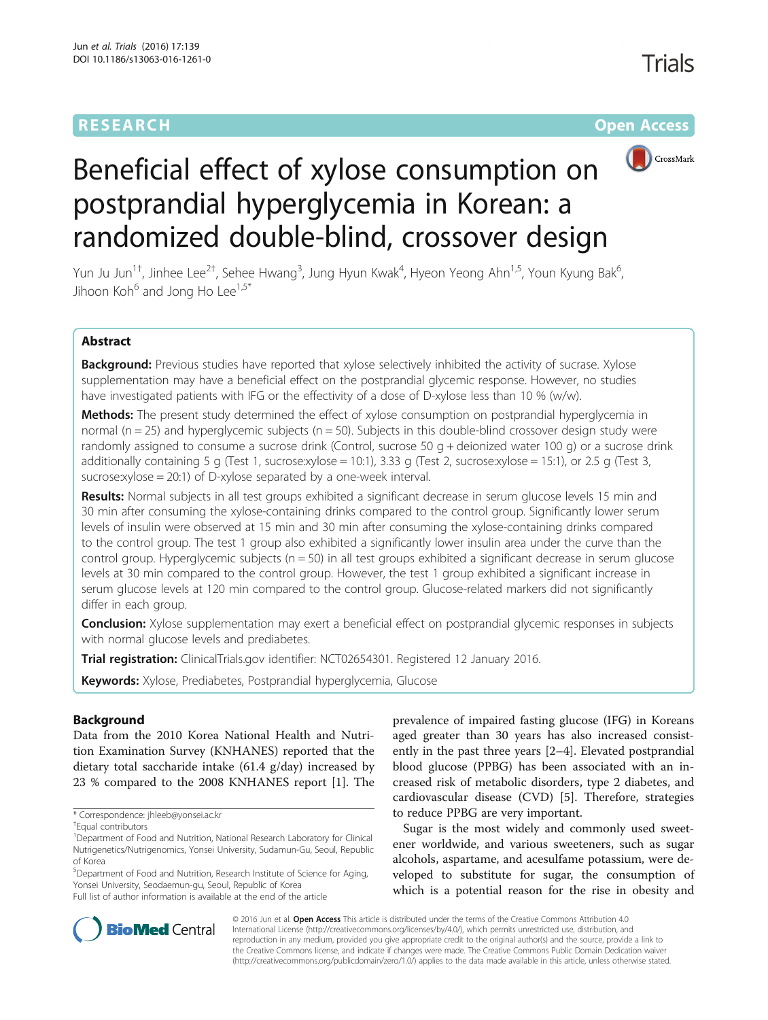## **RESEARCH CHE Open Access**



# Beneficial effect of xylose consumption on postprandial hyperglycemia in Korean: a randomized double-blind, crossover design

Yun Ju Jun<sup>1†</sup>, Jinhee Lee<sup>2†</sup>, Sehee Hwang<sup>3</sup>, Jung Hyun Kwak<sup>4</sup>, Hyeon Yeong Ahn<sup>1,5</sup>, Youn Kyung Bak<sup>6</sup> , Jihoon Koh $^6$  and Jong Ho Lee<sup>1,5\*</sup>

## Abstract

Background: Previous studies have reported that xylose selectively inhibited the activity of sucrase. Xylose supplementation may have a beneficial effect on the postprandial glycemic response. However, no studies have investigated patients with IFG or the effectivity of a dose of D-xylose less than 10 % (w/w).

Methods: The present study determined the effect of xylose consumption on postprandial hyperglycemia in normal ( $n = 25$ ) and hyperglycemic subjects ( $n = 50$ ). Subjects in this double-blind crossover design study were randomly assigned to consume a sucrose drink (Control, sucrose 50 g + deionized water 100 g) or a sucrose drink additionally containing 5 g (Test 1, sucrose:xylose = 10:1), 3.33 g (Test 2, sucrose:xylose = 15:1), or 2.5 g (Test 3, sucrose:xylose = 20:1) of D-xylose separated by a one-week interval.

Results: Normal subjects in all test groups exhibited a significant decrease in serum glucose levels 15 min and 30 min after consuming the xylose-containing drinks compared to the control group. Significantly lower serum levels of insulin were observed at 15 min and 30 min after consuming the xylose-containing drinks compared to the control group. The test 1 group also exhibited a significantly lower insulin area under the curve than the control group. Hyperglycemic subjects (n = 50) in all test groups exhibited a significant decrease in serum glucose levels at 30 min compared to the control group. However, the test 1 group exhibited a significant increase in serum glucose levels at 120 min compared to the control group. Glucose-related markers did not significantly differ in each group.

**Conclusion:** Xylose supplementation may exert a beneficial effect on postprandial glycemic responses in subjects with normal glucose levels and prediabetes.

Trial registration: ClinicalTrials.gov identifier: [NCT02654301](https://clinicaltrials.gov/show/NCT02654301). Registered 12 January 2016.

Keywords: Xylose, Prediabetes, Postprandial hyperglycemia, Glucose

## Background

Data from the 2010 Korea National Health and Nutrition Examination Survey (KNHANES) reported that the dietary total saccharide intake (61.4 g/day) increased by 23 % compared to the 2008 KNHANES report [\[1](#page-6-0)]. The

<sup>5</sup>Department of Food and Nutrition, Research Institute of Science for Aging, Yonsei University, Seodaemun-gu, Seoul, Republic of Korea Full list of author information is available at the end of the article

prevalence of impaired fasting glucose (IFG) in Koreans aged greater than 30 years has also increased consistently in the past three years [\[2](#page-6-0)–[4\]](#page-7-0). Elevated postprandial blood glucose (PPBG) has been associated with an increased risk of metabolic disorders, type 2 diabetes, and cardiovascular disease (CVD) [[5](#page-7-0)]. Therefore, strategies to reduce PPBG are very important.

Sugar is the most widely and commonly used sweetener worldwide, and various sweeteners, such as sugar alcohols, aspartame, and acesulfame potassium, were developed to substitute for sugar, the consumption of which is a potential reason for the rise in obesity and



© 2016 Jun et al. Open Access This article is distributed under the terms of the Creative Commons Attribution 4.0 International License [\(http://creativecommons.org/licenses/by/4.0/](http://creativecommons.org/licenses/by/4.0/)), which permits unrestricted use, distribution, and reproduction in any medium, provided you give appropriate credit to the original author(s) and the source, provide a link to the Creative Commons license, and indicate if changes were made. The Creative Commons Public Domain Dedication waiver [\(http://creativecommons.org/publicdomain/zero/1.0/](http://creativecommons.org/publicdomain/zero/1.0/)) applies to the data made available in this article, unless otherwise stated.

<sup>\*</sup> Correspondence: [jhleeb@yonsei.ac.kr](mailto:jhleeb@yonsei.ac.kr) †

Equal contributors

<sup>&</sup>lt;sup>1</sup>Department of Food and Nutrition, National Research Laboratory for Clinical Nutrigenetics/Nutrigenomics, Yonsei University, Sudamun-Gu, Seoul, Republic of Korea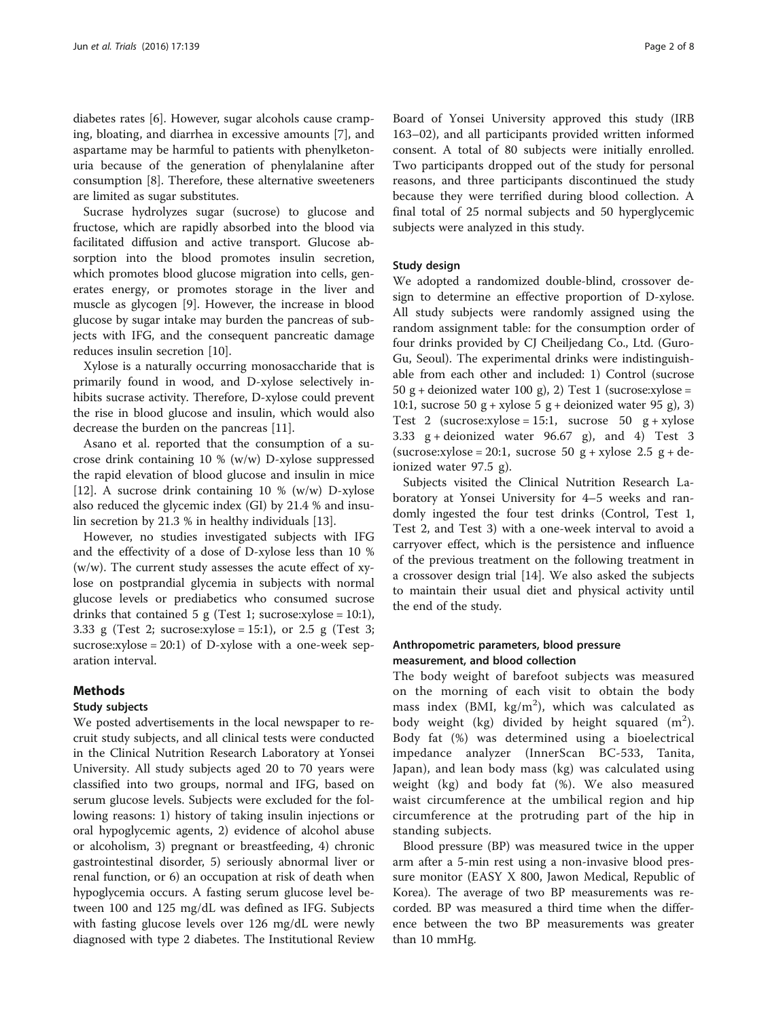diabetes rates [[6\]](#page-7-0). However, sugar alcohols cause cramping, bloating, and diarrhea in excessive amounts [\[7\]](#page-7-0), and aspartame may be harmful to patients with phenylketonuria because of the generation of phenylalanine after consumption [[8\]](#page-7-0). Therefore, these alternative sweeteners are limited as sugar substitutes.

Sucrase hydrolyzes sugar (sucrose) to glucose and fructose, which are rapidly absorbed into the blood via facilitated diffusion and active transport. Glucose absorption into the blood promotes insulin secretion, which promotes blood glucose migration into cells, generates energy, or promotes storage in the liver and muscle as glycogen [[9\]](#page-7-0). However, the increase in blood glucose by sugar intake may burden the pancreas of subjects with IFG, and the consequent pancreatic damage reduces insulin secretion [[10](#page-7-0)].

Xylose is a naturally occurring monosaccharide that is primarily found in wood, and D-xylose selectively inhibits sucrase activity. Therefore, D-xylose could prevent the rise in blood glucose and insulin, which would also decrease the burden on the pancreas [[11](#page-7-0)].

Asano et al. reported that the consumption of a sucrose drink containing 10 % (w/w) D-xylose suppressed the rapid elevation of blood glucose and insulin in mice [[12\]](#page-7-0). A sucrose drink containing 10 % (w/w) D-xylose also reduced the glycemic index (GI) by 21.4 % and insulin secretion by 21.3 % in healthy individuals [[13\]](#page-7-0).

However, no studies investigated subjects with IFG and the effectivity of a dose of D-xylose less than 10 %  $(w/w)$ . The current study assesses the acute effect of xylose on postprandial glycemia in subjects with normal glucose levels or prediabetics who consumed sucrose drinks that contained 5 g (Test 1; sucrose:xylose = 10:1), 3.33 g (Test 2; sucrose:xylose = 15:1), or 2.5 g (Test 3; sucrose: $xy$ lose = 20:1) of D- $xy$ lose with a one-week separation interval.

## Methods

## Study subjects

We posted advertisements in the local newspaper to recruit study subjects, and all clinical tests were conducted in the Clinical Nutrition Research Laboratory at Yonsei University. All study subjects aged 20 to 70 years were classified into two groups, normal and IFG, based on serum glucose levels. Subjects were excluded for the following reasons: 1) history of taking insulin injections or oral hypoglycemic agents, 2) evidence of alcohol abuse or alcoholism, 3) pregnant or breastfeeding, 4) chronic gastrointestinal disorder, 5) seriously abnormal liver or renal function, or 6) an occupation at risk of death when hypoglycemia occurs. A fasting serum glucose level between 100 and 125 mg/dL was defined as IFG. Subjects with fasting glucose levels over 126 mg/dL were newly diagnosed with type 2 diabetes. The Institutional Review

Board of Yonsei University approved this study (IRB 163–02), and all participants provided written informed consent. A total of 80 subjects were initially enrolled. Two participants dropped out of the study for personal reasons, and three participants discontinued the study because they were terrified during blood collection. A final total of 25 normal subjects and 50 hyperglycemic subjects were analyzed in this study.

## Study design

We adopted a randomized double-blind, crossover design to determine an effective proportion of D-xylose. All study subjects were randomly assigned using the random assignment table: for the consumption order of four drinks provided by CJ Cheiljedang Co., Ltd. (Guro-Gu, Seoul). The experimental drinks were indistinguishable from each other and included: 1) Control (sucrose 50 g + deionized water 100 g), 2) Test 1 (sucrose:xylose = 10:1, sucrose 50  $g + xy$ lose 5  $g +$  deionized water 95 g), 3) Test 2 (sucrose:xylose = 15:1, sucrose 50  $g + xy$ lose 3.33  $g +$  deionized water 96.67 g), and 4) Test 3 (sucrose:xylose = 20:1, sucrose 50  $g + xy$ lose 2.5  $g + de$ ionized water 97.5 g).

Subjects visited the Clinical Nutrition Research Laboratory at Yonsei University for 4–5 weeks and randomly ingested the four test drinks (Control, Test 1, Test 2, and Test 3) with a one-week interval to avoid a carryover effect, which is the persistence and influence of the previous treatment on the following treatment in a crossover design trial [\[14](#page-7-0)]. We also asked the subjects to maintain their usual diet and physical activity until the end of the study.

## Anthropometric parameters, blood pressure measurement, and blood collection

The body weight of barefoot subjects was measured on the morning of each visit to obtain the body mass index (BMI,  $\text{kg/m}^2$ ), which was calculated as body weight (kg) divided by height squared  $(m^2)$ . Body fat (%) was determined using a bioelectrical impedance analyzer (InnerScan BC-533, Tanita, Japan), and lean body mass (kg) was calculated using weight (kg) and body fat (%). We also measured waist circumference at the umbilical region and hip circumference at the protruding part of the hip in standing subjects.

Blood pressure (BP) was measured twice in the upper arm after a 5-min rest using a non-invasive blood pressure monitor (EASY X 800, Jawon Medical, Republic of Korea). The average of two BP measurements was recorded. BP was measured a third time when the difference between the two BP measurements was greater than 10 mmHg.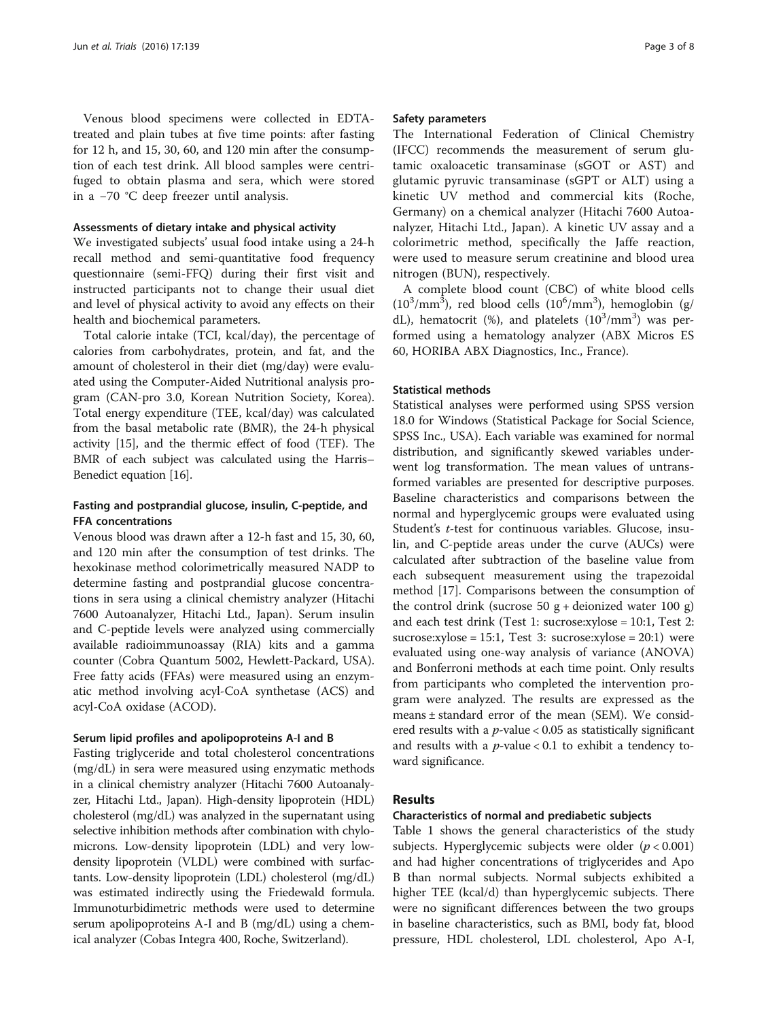Venous blood specimens were collected in EDTAtreated and plain tubes at five time points: after fasting for 12 h, and 15, 30, 60, and 120 min after the consumption of each test drink. All blood samples were centrifuged to obtain plasma and sera, which were stored in a −70 °C deep freezer until analysis.

#### Assessments of dietary intake and physical activity

We investigated subjects' usual food intake using a 24-h recall method and semi-quantitative food frequency questionnaire (semi-FFQ) during their first visit and instructed participants not to change their usual diet and level of physical activity to avoid any effects on their health and biochemical parameters.

Total calorie intake (TCI, kcal/day), the percentage of calories from carbohydrates, protein, and fat, and the amount of cholesterol in their diet (mg/day) were evaluated using the Computer-Aided Nutritional analysis program (CAN-pro 3.0, Korean Nutrition Society, Korea). Total energy expenditure (TEE, kcal/day) was calculated from the basal metabolic rate (BMR), the 24-h physical activity [[15](#page-7-0)], and the thermic effect of food (TEF). The BMR of each subject was calculated using the Harris– Benedict equation [\[16](#page-7-0)].

## Fasting and postprandial glucose, insulin, C-peptide, and FFA concentrations

Venous blood was drawn after a 12-h fast and 15, 30, 60, and 120 min after the consumption of test drinks. The hexokinase method colorimetrically measured NADP to determine fasting and postprandial glucose concentrations in sera using a clinical chemistry analyzer (Hitachi 7600 Autoanalyzer, Hitachi Ltd., Japan). Serum insulin and C-peptide levels were analyzed using commercially available radioimmunoassay (RIA) kits and a gamma counter (Cobra Quantum 5002, Hewlett-Packard, USA). Free fatty acids (FFAs) were measured using an enzymatic method involving acyl-CoA synthetase (ACS) and acyl-CoA oxidase (ACOD).

#### Serum lipid profiles and apolipoproteins A-I and B

Fasting triglyceride and total cholesterol concentrations (mg/dL) in sera were measured using enzymatic methods in a clinical chemistry analyzer (Hitachi 7600 Autoanalyzer, Hitachi Ltd., Japan). High-density lipoprotein (HDL) cholesterol (mg/dL) was analyzed in the supernatant using selective inhibition methods after combination with chylomicrons. Low-density lipoprotein (LDL) and very lowdensity lipoprotein (VLDL) were combined with surfactants. Low-density lipoprotein (LDL) cholesterol (mg/dL) was estimated indirectly using the Friedewald formula. Immunoturbidimetric methods were used to determine serum apolipoproteins A-I and B (mg/dL) using a chemical analyzer (Cobas Integra 400, Roche, Switzerland).

#### Safety parameters

The International Federation of Clinical Chemistry (IFCC) recommends the measurement of serum glutamic oxaloacetic transaminase (sGOT or AST) and glutamic pyruvic transaminase (sGPT or ALT) using a kinetic UV method and commercial kits (Roche, Germany) on a chemical analyzer (Hitachi 7600 Autoanalyzer, Hitachi Ltd., Japan). A kinetic UV assay and a colorimetric method, specifically the Jaffe reaction, were used to measure serum creatinine and blood urea nitrogen (BUN), respectively.

A complete blood count (CBC) of white blood cells ( $10^3/\text{mm}^3$ ), red blood cells ( $10^6/\text{mm}^3$ ), hemoglobin (g/ dL), hematocrit (%), and platelets  $(10^3/\text{mm}^3)$  was performed using a hematology analyzer (ABX Micros ES 60, HORIBA ABX Diagnostics, Inc., France).

#### Statistical methods

Statistical analyses were performed using SPSS version 18.0 for Windows (Statistical Package for Social Science, SPSS Inc., USA). Each variable was examined for normal distribution, and significantly skewed variables underwent log transformation. The mean values of untransformed variables are presented for descriptive purposes. Baseline characteristics and comparisons between the normal and hyperglycemic groups were evaluated using Student's *t*-test for continuous variables. Glucose, insulin, and C-peptide areas under the curve (AUCs) were calculated after subtraction of the baseline value from each subsequent measurement using the trapezoidal method [[17\]](#page-7-0). Comparisons between the consumption of the control drink (sucrose 50  $g$  + deionized water 100 g) and each test drink (Test 1: sucrose:xylose = 10:1, Test 2: sucrose:xylose =  $15:1$ , Test 3: sucrose:xylose =  $20:1$ ) were evaluated using one-way analysis of variance (ANOVA) and Bonferroni methods at each time point. Only results from participants who completed the intervention program were analyzed. The results are expressed as the means ± standard error of the mean (SEM). We considered results with a  $p$ -value < 0.05 as statistically significant and results with a  $p$ -value < 0.1 to exhibit a tendency toward significance.

#### Results

#### Characteristics of normal and prediabetic subjects

Table [1](#page-3-0) shows the general characteristics of the study subjects. Hyperglycemic subjects were older  $(p < 0.001)$ and had higher concentrations of triglycerides and Apo B than normal subjects. Normal subjects exhibited a higher TEE (kcal/d) than hyperglycemic subjects. There were no significant differences between the two groups in baseline characteristics, such as BMI, body fat, blood pressure, HDL cholesterol, LDL cholesterol, Apo A-I,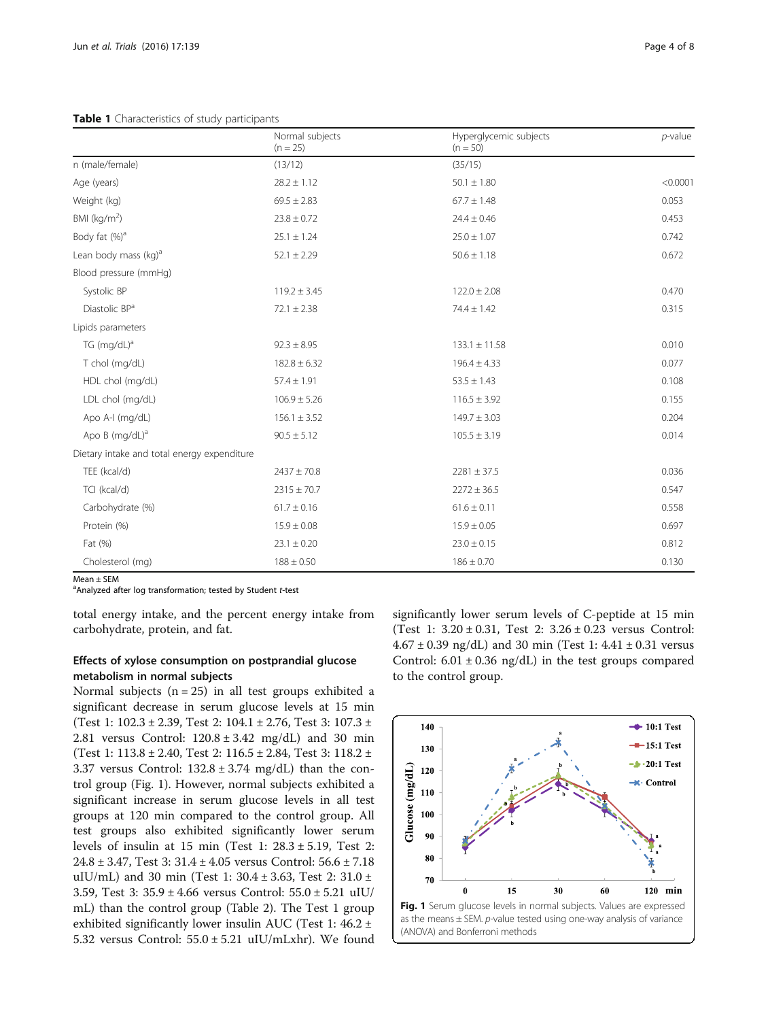<span id="page-3-0"></span>Table 1 Characteristics of study participants

|                                             | Normal subjects<br>$(n = 25)$ | Hyperglycemic subjects<br>$(n = 50)$ | $p$ -value |
|---------------------------------------------|-------------------------------|--------------------------------------|------------|
| n (male/female)                             | (13/12)                       | (35/15)                              |            |
| Age (years)                                 | $28.2 \pm 1.12$               | $50.1 \pm 1.80$                      | < 0.0001   |
| Weight (kg)                                 | $69.5 \pm 2.83$               | $67.7 \pm 1.48$                      | 0.053      |
| BMI ( $kg/m2$ )                             | $23.8 \pm 0.72$               | $24.4 \pm 0.46$                      | 0.453      |
| Body fat (%) <sup>a</sup>                   | $25.1 \pm 1.24$               | $25.0 \pm 1.07$                      | 0.742      |
| Lean body mass (kg) <sup>a</sup>            | $52.1 \pm 2.29$               | $50.6 \pm 1.18$                      | 0.672      |
| Blood pressure (mmHg)                       |                               |                                      |            |
| Systolic BP                                 | $119.2 \pm 3.45$              | $122.0 \pm 2.08$                     | 0.470      |
| Diastolic BP <sup>a</sup>                   | $72.1 \pm 2.38$               | $74.4 \pm 1.42$                      | 0.315      |
| Lipids parameters                           |                               |                                      |            |
| TG $(mq/dL)^a$                              | $92.3 \pm 8.95$               | $133.1 \pm 11.58$                    | 0.010      |
| T chol (mg/dL)                              | $182.8 \pm 6.32$              | $196.4 \pm 4.33$                     | 0.077      |
| HDL chol (mg/dL)                            | $57.4 \pm 1.91$               | $53.5 \pm 1.43$                      | 0.108      |
| LDL chol (mg/dL)                            | $106.9 \pm 5.26$              | $116.5 \pm 3.92$                     | 0.155      |
| Apo A-I (mg/dL)                             | $156.1 \pm 3.52$              | $149.7 \pm 3.03$                     | 0.204      |
| Apo $B$ (mg/dL) <sup>a</sup>                | $90.5 \pm 5.12$               | $105.5 \pm 3.19$                     | 0.014      |
| Dietary intake and total energy expenditure |                               |                                      |            |
| TEE (kcal/d)                                | $2437 \pm 70.8$               | $2281 \pm 37.5$                      | 0.036      |
| TCI (kcal/d)                                | $2315 \pm 70.7$               | $2272 \pm 36.5$                      | 0.547      |
| Carbohydrate (%)                            | $61.7 \pm 0.16$               | $61.6 \pm 0.11$                      | 0.558      |
| Protein (%)                                 | $15.9 \pm 0.08$               | $15.9 \pm 0.05$                      | 0.697      |
| Fat (%)                                     | $23.1 \pm 0.20$               | $23.0 \pm 0.15$                      | 0.812      |
| Cholesterol (mg)                            | $188 \pm 0.50$                | $186 \pm 0.70$                       | 0.130      |

Mean ± SEM

<sup>a</sup> Analyzed after log transformation; tested by Student t-test

total energy intake, and the percent energy intake from carbohydrate, protein, and fat.

## Effects of xylose consumption on postprandial glucose metabolism in normal subjects

Normal subjects  $(n = 25)$  in all test groups exhibited a significant decrease in serum glucose levels at 15 min (Test 1: 102.3 ± 2.39, Test 2: 104.1 ± 2.76, Test 3: 107.3 ± 2.81 versus Control:  $120.8 \pm 3.42$  mg/dL) and 30 min (Test 1: 113.8 ± 2.40, Test 2: 116.5 ± 2.84, Test 3: 118.2 ± 3.37 versus Control:  $132.8 \pm 3.74$  mg/dL) than the control group (Fig. 1). However, normal subjects exhibited a significant increase in serum glucose levels in all test groups at 120 min compared to the control group. All test groups also exhibited significantly lower serum levels of insulin at 15 min (Test 1:  $28.3 \pm 5.19$ , Test 2: 24.8 ± 3.47, Test 3: 31.4 ± 4.05 versus Control: 56.6 ± 7.18 uIU/mL) and 30 min (Test 1: 30.4 ± 3.63, Test 2: 31.0 ± 3.59, Test 3: 35.9 ± 4.66 versus Control: 55.0 ± 5.21 uIU/ mL) than the control group (Table [2](#page-4-0)). The Test 1 group exhibited significantly lower insulin AUC (Test 1:  $46.2 \pm$ 5.32 versus Control:  $55.0 \pm 5.21$  uIU/mLxhr). We found

significantly lower serum levels of C-peptide at 15 min (Test 1: 3.20 ± 0.31, Test 2: 3.26 ± 0.23 versus Control:  $4.67 \pm 0.39$  ng/dL) and 30 min (Test 1:  $4.41 \pm 0.31$  versus Control:  $6.01 \pm 0.36$  ng/dL) in the test groups compared to the control group.

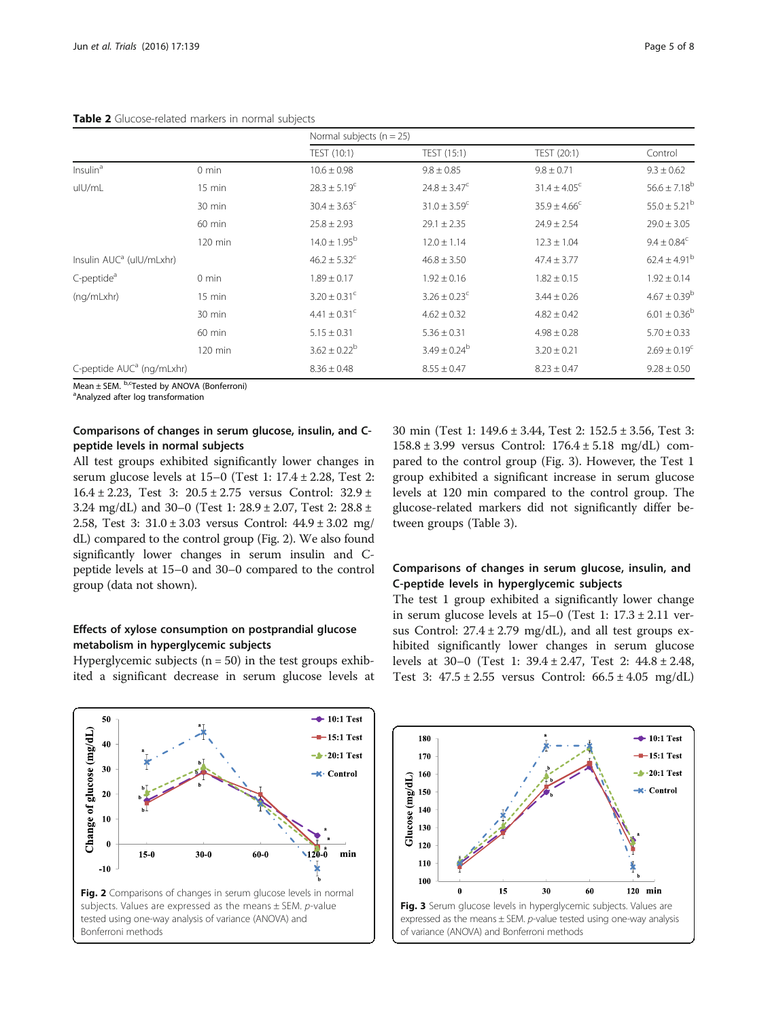<span id="page-4-0"></span>

|                                       |                   | Normal subjects ( $n = 25$ ) |                              |                         |                         |
|---------------------------------------|-------------------|------------------------------|------------------------------|-------------------------|-------------------------|
|                                       |                   | TEST (10:1)                  | TEST (15:1)                  | TEST (20:1)             | Control                 |
| Insulin <sup>a</sup>                  | $0 \text{ min}$   | $10.6 \pm 0.98$              | $9.8 \pm 0.85$               | $9.8 \pm 0.71$          | $9.3 \pm 0.62$          |
| ulU/mL                                | $15 \text{ min}$  | $28.3 \pm 5.19^c$            | $24.8 \pm 3.47^{\circ}$      | $31.4 \pm 4.05^{\circ}$ | $56.6 \pm 7.18^b$       |
|                                       | 30 min            | $30.4 \pm 3.63^c$            | $31.0 \pm 3.59$ <sup>c</sup> | $35.9 \pm 4.66^{\circ}$ | $55.0 \pm 5.21^{\rm b}$ |
|                                       | 60 min            | $25.8 \pm 2.93$              | $29.1 \pm 2.35$              | $24.9 \pm 2.54$         | $29.0 \pm 3.05$         |
|                                       | $120$ min         | $14.0 \pm 1.95^{\rm b}$      | $12.0 \pm 1.14$              | $12.3 \pm 1.04$         | $9.4 \pm 0.84^c$        |
| Insulin AUC <sup>a</sup> (ulU/mLxhr)  |                   | $46.2 \pm 5.32^c$            | $46.8 \pm 3.50$              | $47.4 \pm 3.77$         | $62.4 \pm 4.91^{\rm b}$ |
| C-peptide <sup>a</sup>                | $0 \text{ min}$   | $1.89 \pm 0.17$              | $1.92 \pm 0.16$              | $1.82 \pm 0.15$         | $1.92 \pm 0.14$         |
| (ng/mLxhr)                            | $15 \text{ min}$  | $3.20 \pm 0.31$ <sup>c</sup> | $3.26 \pm 0.23$ <sup>c</sup> | $3.44 \pm 0.26$         | $4.67 \pm 0.39^{\rm b}$ |
|                                       | 30 min            | $4.41 \pm 0.31$ <sup>c</sup> | $4.62 \pm 0.32$              | $4.82 \pm 0.42$         | $6.01 \pm 0.36^{\rm b}$ |
|                                       | 60 min            | $5.15 \pm 0.31$              | $5.36 \pm 0.31$              | $4.98 \pm 0.28$         | $5.70 \pm 0.33$         |
|                                       | $120 \text{ min}$ | $3.62 \pm 0.22^b$            | $3.49 \pm 0.24^b$            | $3.20 \pm 0.21$         | $2.69 \pm 0.19^c$       |
| C-peptide AUC <sup>a</sup> (ng/mLxhr) |                   | $8.36 \pm 0.48$              | $8.55 \pm 0.47$              | $8.23 \pm 0.47$         | $9.28 \pm 0.50$         |

 $Mean \pm SEM$ .  $b$ ,  $c$ Tested by ANOVA (Bonferroni)

Analyzed after log transformation

## Comparisons of changes in serum glucose, insulin, and Cpeptide levels in normal subjects

All test groups exhibited significantly lower changes in serum glucose levels at 15–0 (Test 1: 17.4 ± 2.28, Test 2: 16.4 ± 2.23, Test 3:  $20.5 \pm 2.75$  versus Control:  $32.9 \pm$ 3.24 mg/dL) and 30–0 (Test 1: 28.9 ± 2.07, Test 2: 28.8 ± 2.58, Test 3: 31.0 ± 3.03 versus Control: 44.9 ± 3.02 mg/ dL) compared to the control group (Fig. 2). We also found significantly lower changes in serum insulin and Cpeptide levels at 15–0 and 30–0 compared to the control group (data not shown).

## Effects of xylose consumption on postprandial glucose metabolism in hyperglycemic subjects

Hyperglycemic subjects ( $n = 50$ ) in the test groups exhibited a significant decrease in serum glucose levels at 30 min (Test 1: 149.6 ± 3.44, Test 2: 152.5 ± 3.56, Test 3: 158.8 ± 3.99 versus Control: 176.4 ± 5.18 mg/dL) compared to the control group (Fig. 3). However, the Test 1 group exhibited a significant increase in serum glucose levels at 120 min compared to the control group. The glucose-related markers did not significantly differ between groups (Table [3\)](#page-5-0).

## Comparisons of changes in serum glucose, insulin, and C-peptide levels in hyperglycemic subjects

The test 1 group exhibited a significantly lower change in serum glucose levels at  $15-0$  (Test 1:  $17.3 \pm 2.11$  versus Control:  $27.4 \pm 2.79$  mg/dL), and all test groups exhibited significantly lower changes in serum glucose levels at 30–0 (Test 1: 39.4 ± 2.47, Test 2: 44.8 ± 2.48, Test 3:  $47.5 \pm 2.55$  versus Control:  $66.5 \pm 4.05$  mg/dL)



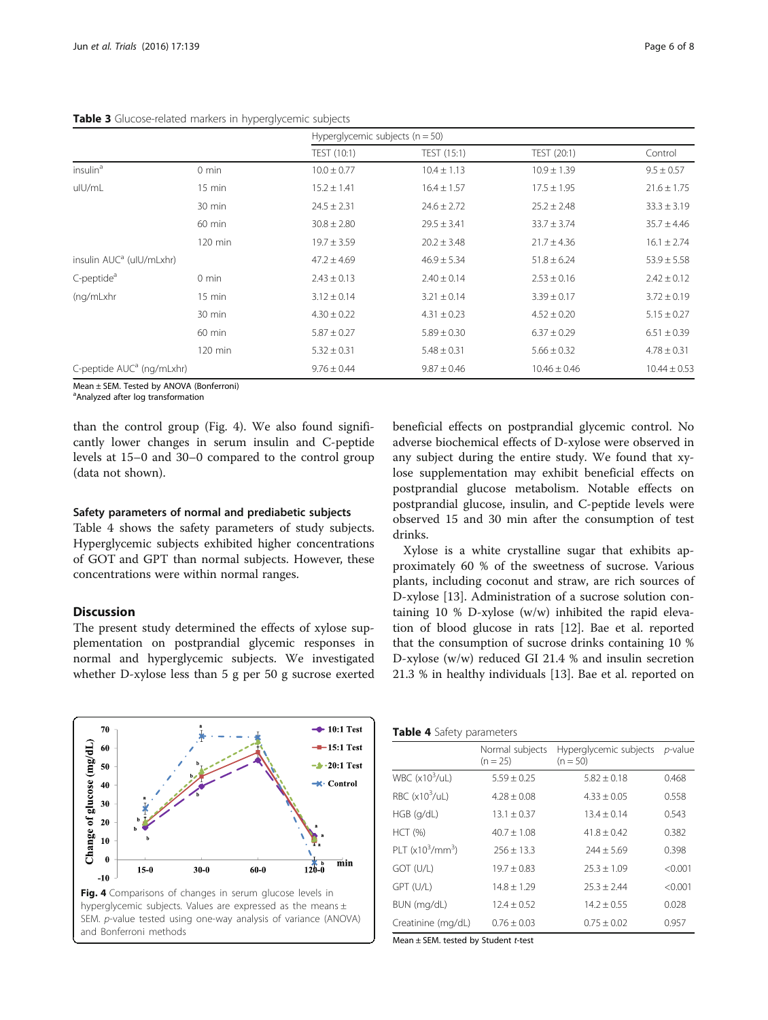|                                       |                   | Hyperglycemic subjects $(n = 50)$ |                 |                  |                  |
|---------------------------------------|-------------------|-----------------------------------|-----------------|------------------|------------------|
|                                       |                   | TEST (10:1)                       | TEST (15:1)     | TEST (20:1)      | Control          |
| insulin <sup>a</sup>                  | $0 \text{ min}$   | $10.0 \pm 0.77$                   | $10.4 \pm 1.13$ | $10.9 \pm 1.39$  | $9.5 \pm 0.57$   |
| ulU/mL                                | $15 \text{ min}$  | $15.2 \pm 1.41$                   | $16.4 \pm 1.57$ | $17.5 \pm 1.95$  | $21.6 \pm 1.75$  |
|                                       | 30 min            | $24.5 \pm 2.31$                   | $24.6 \pm 2.72$ | $25.2 \pm 2.48$  | $33.3 \pm 3.19$  |
|                                       | 60 min            | $30.8 \pm 2.80$                   | $29.5 \pm 3.41$ | $33.7 \pm 3.74$  | $35.7 \pm 4.46$  |
|                                       | $120 \text{ min}$ | $19.7 \pm 3.59$                   | $20.2 \pm 3.48$ | $21.7 \pm 4.36$  | $16.1 \pm 2.74$  |
| insulin AUC <sup>a</sup> (ulU/mLxhr)  |                   | $47.2 \pm 4.69$                   | $46.9 \pm 5.34$ | $51.8 \pm 6.24$  | $53.9 \pm 5.58$  |
| C-peptide <sup>a</sup>                | $0 \text{ min}$   | $2.43 \pm 0.13$                   | $2.40 \pm 0.14$ | $2.53 \pm 0.16$  | $2.42 \pm 0.12$  |
| (ng/mLxhr                             | $15 \text{ min}$  | $3.12 \pm 0.14$                   | $3.21 \pm 0.14$ | $3.39 \pm 0.17$  | $3.72 \pm 0.19$  |
|                                       | 30 min            | $4.30 \pm 0.22$                   | $4.31 \pm 0.23$ | $4.52 \pm 0.20$  | $5.15 \pm 0.27$  |
|                                       | 60 min            | $5.87 \pm 0.27$                   | $5.89 \pm 0.30$ | $6.37 \pm 0.29$  | $6.51 \pm 0.39$  |
|                                       | $120 \text{ min}$ | $5.32 \pm 0.31$                   | $5.48 \pm 0.31$ | $5.66 \pm 0.32$  | $4.78 \pm 0.31$  |
| C-peptide AUC <sup>a</sup> (ng/mLxhr) |                   | $9.76 \pm 0.44$                   | $9.87 \pm 0.46$ | $10.46 \pm 0.46$ | $10.44 \pm 0.53$ |

#### <span id="page-5-0"></span>Table 3 Glucose-related markers in hyperglycemic subjects

Mean ± SEM. Tested by ANOVA (Bonferroni)

<sup>a</sup>Analyzed after log transformation

than the control group (Fig. 4). We also found significantly lower changes in serum insulin and C-peptide levels at 15–0 and 30–0 compared to the control group (data not shown).

#### Safety parameters of normal and prediabetic subjects

Table 4 shows the safety parameters of study subjects. Hyperglycemic subjects exhibited higher concentrations of GOT and GPT than normal subjects. However, these concentrations were within normal ranges.

## Discussion

The present study determined the effects of xylose supplementation on postprandial glycemic responses in normal and hyperglycemic subjects. We investigated whether D-xylose less than 5 g per 50 g sucrose exerted beneficial effects on postprandial glycemic control. No adverse biochemical effects of D-xylose were observed in any subject during the entire study. We found that xylose supplementation may exhibit beneficial effects on postprandial glucose metabolism. Notable effects on postprandial glucose, insulin, and C-peptide levels were observed 15 and 30 min after the consumption of test drinks.

Xylose is a white crystalline sugar that exhibits approximately 60 % of the sweetness of sucrose. Various plants, including coconut and straw, are rich sources of D-xylose [[13\]](#page-7-0). Administration of a sucrose solution containing 10 % D-xylose (w/w) inhibited the rapid elevation of blood glucose in rats [[12\]](#page-7-0). Bae et al. reported that the consumption of sucrose drinks containing 10 % D-xylose (w/w) reduced GI 21.4 % and insulin secretion 21.3 % in healthy individuals [[13\]](#page-7-0). Bae et al. reported on



Table 4 Safety parameters

|                         | Normal subjects<br>$(n = 25)$ | Hyperglycemic subjects<br>$(n = 50)$ | $p$ -value |
|-------------------------|-------------------------------|--------------------------------------|------------|
| WBC $(x10^3/\text{uL})$ | $5.59 + 0.25$                 | $5.82 + 0.18$                        | 0.468      |
| RBC $(x10^3/\text{UL})$ | $4.28 \pm 0.08$               | $4.33 \pm 0.05$                      | 0.558      |
| $HGB$ ( $q/dL$ )        | $13.1 \pm 0.37$               | $13.4 + 0.14$                        | 0.543      |
| <b>HCT</b> (%)          | $40.7 + 1.08$                 | $41.8 + 0.42$                        | 0.382      |
| PLT $(x10^3/mm^3)$      | $256 + 13.3$                  | $744 + 5.69$                         | 0.398      |
| GOT (U/L)               | $19.7 \pm 0.83$               | $25.3 + 1.09$                        | < 0.001    |
| GPT (U/L)               | $14.8 \pm 1.29$               | $25.3 \pm 2.44$                      | < 0.001    |
| BUN (mg/dL)             | $12.4 \pm 0.52$               | $14.2 + 0.55$                        | 0.028      |
| Creatinine (mg/dL)      | $0.76 + 0.03$                 | $0.75 \pm 0.02$                      | 0.957      |

Mean  $\pm$  SEM. tested by Student t-test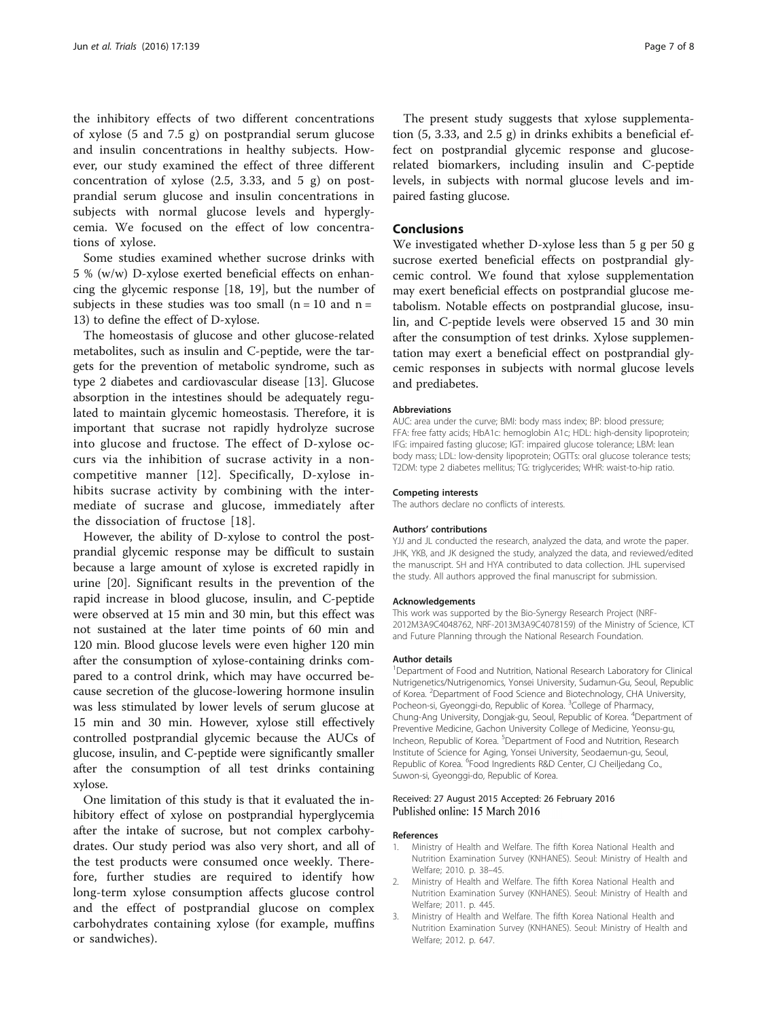<span id="page-6-0"></span>the inhibitory effects of two different concentrations of xylose (5 and 7.5 g) on postprandial serum glucose and insulin concentrations in healthy subjects. However, our study examined the effect of three different concentration of xylose (2.5, 3.33, and 5 g) on postprandial serum glucose and insulin concentrations in subjects with normal glucose levels and hyperglycemia. We focused on the effect of low concentrations of xylose.

Some studies examined whether sucrose drinks with 5 % (w/w) D-xylose exerted beneficial effects on enhancing the glycemic response [\[18, 19\]](#page-7-0), but the number of subjects in these studies was too small  $(n = 10$  and  $n =$ 13) to define the effect of D-xylose.

The homeostasis of glucose and other glucose-related metabolites, such as insulin and C-peptide, were the targets for the prevention of metabolic syndrome, such as type 2 diabetes and cardiovascular disease [[13\]](#page-7-0). Glucose absorption in the intestines should be adequately regulated to maintain glycemic homeostasis. Therefore, it is important that sucrase not rapidly hydrolyze sucrose into glucose and fructose. The effect of D-xylose occurs via the inhibition of sucrase activity in a noncompetitive manner [[12\]](#page-7-0). Specifically, D-xylose inhibits sucrase activity by combining with the intermediate of sucrase and glucose, immediately after the dissociation of fructose [\[18](#page-7-0)].

However, the ability of D-xylose to control the postprandial glycemic response may be difficult to sustain because a large amount of xylose is excreted rapidly in urine [\[20\]](#page-7-0). Significant results in the prevention of the rapid increase in blood glucose, insulin, and C-peptide were observed at 15 min and 30 min, but this effect was not sustained at the later time points of 60 min and 120 min. Blood glucose levels were even higher 120 min after the consumption of xylose-containing drinks compared to a control drink, which may have occurred because secretion of the glucose-lowering hormone insulin was less stimulated by lower levels of serum glucose at 15 min and 30 min. However, xylose still effectively controlled postprandial glycemic because the AUCs of glucose, insulin, and C-peptide were significantly smaller after the consumption of all test drinks containing xylose.

One limitation of this study is that it evaluated the inhibitory effect of xylose on postprandial hyperglycemia after the intake of sucrose, but not complex carbohydrates. Our study period was also very short, and all of the test products were consumed once weekly. Therefore, further studies are required to identify how long-term xylose consumption affects glucose control and the effect of postprandial glucose on complex carbohydrates containing xylose (for example, muffins or sandwiches).

The present study suggests that xylose supplementation (5, 3.33, and 2.5 g) in drinks exhibits a beneficial effect on postprandial glycemic response and glucoserelated biomarkers, including insulin and C-peptide levels, in subjects with normal glucose levels and impaired fasting glucose.

## Conclusions

We investigated whether D-xylose less than 5 g per 50 g sucrose exerted beneficial effects on postprandial glycemic control. We found that xylose supplementation may exert beneficial effects on postprandial glucose metabolism. Notable effects on postprandial glucose, insulin, and C-peptide levels were observed 15 and 30 min after the consumption of test drinks. Xylose supplementation may exert a beneficial effect on postprandial glycemic responses in subjects with normal glucose levels and prediabetes.

#### Abbreviations

AUC: area under the curve; BMI: body mass index; BP: blood pressure; FFA: free fatty acids; HbA1c: hemoglobin A1c; HDL: high-density lipoprotein; IFG: impaired fasting glucose; IGT: impaired glucose tolerance; LBM: lean body mass; LDL: low-density lipoprotein; OGTTs: oral glucose tolerance tests; T2DM: type 2 diabetes mellitus; TG: triglycerides; WHR: waist-to-hip ratio.

#### Competing interests

The authors declare no conflicts of interests.

#### Authors' contributions

YJJ and JL conducted the research, analyzed the data, and wrote the paper. JHK, YKB, and JK designed the study, analyzed the data, and reviewed/edited the manuscript. SH and HYA contributed to data collection. JHL supervised the study. All authors approved the final manuscript for submission.

#### Acknowledgements

This work was supported by the Bio-Synergy Research Project (NRF-2012M3A9C4048762, NRF-2013M3A9C4078159) of the Ministry of Science, ICT and Future Planning through the National Research Foundation.

#### Author details

<sup>1</sup>Department of Food and Nutrition, National Research Laboratory for Clinical Nutrigenetics/Nutrigenomics, Yonsei University, Sudamun-Gu, Seoul, Republic of Korea. <sup>2</sup> Department of Food Science and Biotechnology, CHA University, Pocheon-si, Gyeonggi-do, Republic of Korea. <sup>3</sup>College of Pharmacy Chung-Ang University, Dongjak-gu, Seoul, Republic of Korea. <sup>4</sup>Department of Preventive Medicine, Gachon University College of Medicine, Yeonsu-gu, Incheon, Republic of Korea. <sup>5</sup>Department of Food and Nutrition, Research Institute of Science for Aging, Yonsei University, Seodaemun-gu, Seoul, Republic of Korea. <sup>6</sup> Food Ingredients R&D Center, CJ Cheiljedang Co., Suwon-si, Gyeonggi-do, Republic of Korea.

#### Received: 27 August 2015 Accepted: 26 February 2016 Published online: 15 March 2016

#### References

- 1. Ministry of Health and Welfare. The fifth Korea National Health and Nutrition Examination Survey (KNHANES). Seoul: Ministry of Health and Welfare; 2010. p. 38–45.
- 2. Ministry of Health and Welfare. The fifth Korea National Health and Nutrition Examination Survey (KNHANES). Seoul: Ministry of Health and Welfare; 2011. p. 445.
- 3. Ministry of Health and Welfare. The fifth Korea National Health and Nutrition Examination Survey (KNHANES). Seoul: Ministry of Health and Welfare; 2012. p. 647.